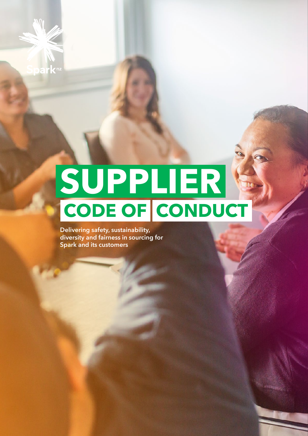# **SUPPLIER CODE OF CONDUCT**

**Delivering safety, sustainability, diversity and fairness in sourcing for Spark and its customers**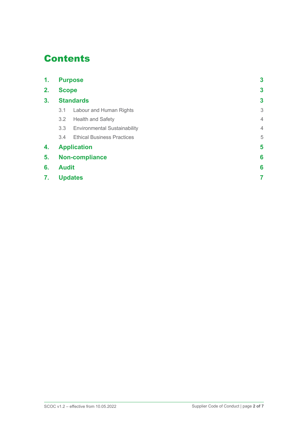## **Contents**

| 1.             | <b>Purpose</b><br><b>Scope</b> |                                     | 3              |
|----------------|--------------------------------|-------------------------------------|----------------|
| 2.             |                                |                                     | 3              |
| 3 <sub>1</sub> | <b>Standards</b>               |                                     | 3              |
|                | 3.1                            | Labour and Human Rights             | 3              |
|                | 3.2                            | <b>Health and Safety</b>            | $\overline{4}$ |
|                | 3.3                            | <b>Environmental Sustainability</b> | $\overline{4}$ |
|                | 3.4                            | <b>Ethical Business Practices</b>   | 5              |
| 4.             | <b>Application</b>             |                                     | 5              |
| 5.             | <b>Non-compliance</b>          |                                     | 6              |
| 6.             | <b>Audit</b>                   |                                     |                |
| 7.             | <b>Updates</b>                 |                                     |                |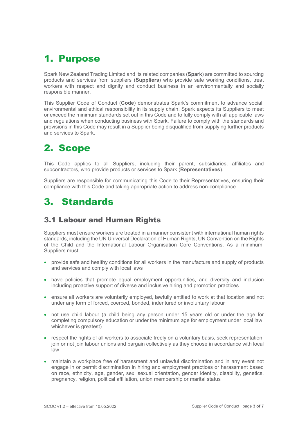## 1. Purpose

Spark New Zealand Trading Limited and its related companies (**Spark**) are committed to sourcing products and services from suppliers (**Suppliers**) who provide safe working conditions, treat workers with respect and dignity and conduct business in an environmentally and socially responsible manner.

This Supplier Code of Conduct (**Code**) demonstrates Spark's commitment to advance social, environmental and ethical responsibility in its supply chain. Spark expects its Suppliers to meet or exceed the minimum standards set out in this Code and to fully comply with all applicable laws and regulations when conducting business with Spark. Failure to comply with the standards and provisions in this Code may result in a Supplier being disqualified from supplying further products and services to Spark.

## 2. Scope

This Code applies to all Suppliers, including their parent, subsidiaries, affiliates and subcontractors, who provide products or services to Spark (**Representatives**).

Suppliers are responsible for communicating this Code to their Representatives, ensuring their compliance with this Code and taking appropriate action to address non-compliance.

## 3. Standards

#### 3.1 Labour and Human Rights

Suppliers must ensure workers are treated in a manner consistent with international human rights standards, including the UN Universal Declaration of Human Rights, UN Convention on the Rights of the Child and the International Labour Organisation Core Conventions. As a minimum, Suppliers must:

- provide safe and healthy conditions for all workers in the manufacture and supply of products and services and comply with local laws
- have policies that promote equal employment opportunities, and diversity and inclusion including proactive support of diverse and inclusive hiring and promotion practices
- ensure all workers are voluntarily employed, lawfully entitled to work at that location and not under any form of forced, coerced, bonded, indentured or involuntary labour
- not use child labour (a child being any person under 15 years old or under the age for completing compulsory education or under the minimum age for employment under local law, whichever is greatest)
- respect the rights of all workers to associate freely on a voluntary basis, seek representation, join or not join labour unions and bargain collectively as they choose in accordance with local law
- maintain a workplace free of harassment and unlawful discrimination and in any event not engage in or permit discrimination in hiring and employment practices or harassment based on race, ethnicity, age, gender, sex, sexual orientation, gender identity, disability, genetics, pregnancy, religion, political affiliation, union membership or marital status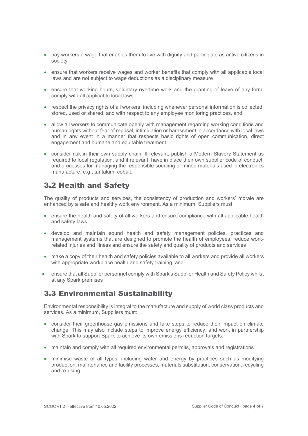- pay workers a wage that enables them to live with dignity and participate as active citizens in society
- ensure that workers receive wages and worker benefits that comply with all applicable local laws and are not subject to wage deductions as a disciplinary measure
- ensure that working hours, voluntary overtime work and the granting of leave of any form, comply with all applicable local laws
- respect the privacy rights of all workers, including whenever personal information is collected, stored, used or shared, and with respect to any employee monitoring practices, and
- allow all workers to communicate openly with management regarding working conditions and human rights without fear of reprisal, intimidation or harassment in accordance with local laws and in any event in a manner that respects basic rights of open communication, direct engagement and humane and equitable treatment
- consider risk in their own supply chain. If relevant, publish a Modern Slavery Statement as required to local regulation, and if relevant, have in place their own supplier code of conduct, and processes for managing the responsible sourcing of mined materials used in electronics manufacture, e.g., tantalum, cobalt.

#### 3.2 Health and Safety

The quality of products and services, the consistency of production and workers' morale are enhanced by a safe and healthy work environment. As a minimum, Suppliers must:

- ensure the health and safety of all workers and ensure compliance with all applicable health and safety laws
- develop and maintain sound health and safety management policies, practices and management systems that are designed to promote the health of employees, reduce workrelated injuries and illness and ensure the safety and quality of products and services
- make a copy of their health and safety policies available to all workers and provide all workers with appropriate workplace health and safety training, and
- ensure that all Supplier personnel comply with Spark's Supplier Health and Safety Policy whilst at any Spark premises

#### 3.3 Environmental Sustainability

Environmental responsibility is integral to the manufacture and supply of world class products and services. As a minimum, Suppliers must:

- consider their greenhouse gas emissions and take steps to reduce their impact on climate change. This may also include steps to improve energy efficiency, and work in partnership with Spark to support Spark to achieve its own emissions reduction targets.
- maintain and comply with all required environmental permits, approvals and registrations
- minimise waste of all types, including water and energy by practices such as modifying production, maintenance and facility processes, materials substitution, conservation, recycling and re-using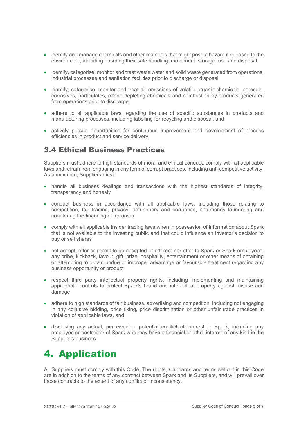- identify and manage chemicals and other materials that might pose a hazard if released to the environment, including ensuring their safe handling, movement, storage, use and disposal
- identify, categorise, monitor and treat waste water and solid waste generated from operations, industrial processes and sanitation facilities prior to discharge or disposal
- identify, categorise, monitor and treat air emissions of volatile organic chemicals, aerosols, corrosives, particulates, ozone depleting chemicals and combustion by-products generated from operations prior to discharge
- adhere to all applicable laws regarding the use of specific substances in products and manufacturing processes, including labelling for recycling and disposal, and
- actively pursue opportunities for continuous improvement and development of process efficiencies in product and service delivery

#### 3.4 Ethical Business Practices

Suppliers must adhere to high standards of moral and ethical conduct, comply with all applicable laws and refrain from engaging in any form of corrupt practices, including anti-competitive activity. As a minimum, Suppliers must:

- handle all business dealings and transactions with the highest standards of integrity, transparency and honesty
- conduct business in accordance with all applicable laws, including those relating to competition, fair trading, privacy, anti-bribery and corruption, anti-money laundering and countering the financing of terrorism
- comply with all applicable insider trading laws when in possession of information about Spark that is not available to the investing public and that could influence an investor's decision to buy or sell shares
- not accept, offer or permit to be accepted or offered; nor offer to Spark or Spark employees; any bribe, kickback, favour, gift, prize, hospitality, entertainment or other means of obtaining or attempting to obtain undue or improper advantage or favourable treatment regarding any business opportunity or product
- respect third party intellectual property rights, including implementing and maintaining appropriate controls to protect Spark's brand and intellectual property against misuse and damage
- adhere to high standards of fair business, advertising and competition, including not engaging in any collusive bidding, price fixing, price discrimination or other unfair trade practices in violation of applicable laws, and
- disclosing any actual, perceived or potential conflict of interest to Spark, including any employee or contractor of Spark who may have a financial or other interest of any kind in the Supplier's business

# 4. Application

All Suppliers must comply with this Code. The rights, standards and terms set out in this Code are in addition to the terms of any contract between Spark and its Suppliers, and will prevail over those contracts to the extent of any conflict or inconsistency.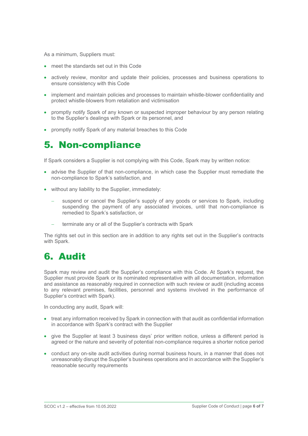As a minimum, Suppliers must:

- meet the standards set out in this Code
- actively review, monitor and update their policies, processes and business operations to ensure consistency with this Code
- implement and maintain policies and processes to maintain whistle-blower confidentiality and protect whistle-blowers from retaliation and victimisation
- promptly notify Spark of any known or suspected improper behaviour by any person relating to the Supplier's dealings with Spark or its personnel, and
- promptly notify Spark of any material breaches to this Code

## 5. Non-compliance

If Spark considers a Supplier is not complying with this Code, Spark may by written notice:

- advise the Supplier of that non-compliance, in which case the Supplier must remediate the non-compliance to Spark's satisfaction, and
- without any liability to the Supplier, immediately:
	- suspend or cancel the Supplier's supply of any goods or services to Spark, including suspending the payment of any associated invoices, until that non-compliance is remedied to Spark's satisfaction, or
	- terminate any or all of the Supplier's contracts with Spark

The rights set out in this section are in addition to any rights set out in the Supplier's contracts with Spark.

### 6. Audit

Spark may review and audit the Supplier's compliance with this Code. At Spark's request, the Supplier must provide Spark or its nominated representative with all documentation, information and assistance as reasonably required in connection with such review or audit (including access to any relevant premises, facilities, personnel and systems involved in the performance of Supplier's contract with Spark).

In conducting any audit, Spark will:

- treat any information received by Spark in connection with that audit as confidential information in accordance with Spark's contract with the Supplier
- give the Supplier at least 3 business days' prior written notice, unless a different period is agreed or the nature and severity of potential non-compliance requires a shorter notice period
- conduct any on-site audit activities during normal business hours, in a manner that does not unreasonably disrupt the Supplier's business operations and in accordance with the Supplier's reasonable security requirements